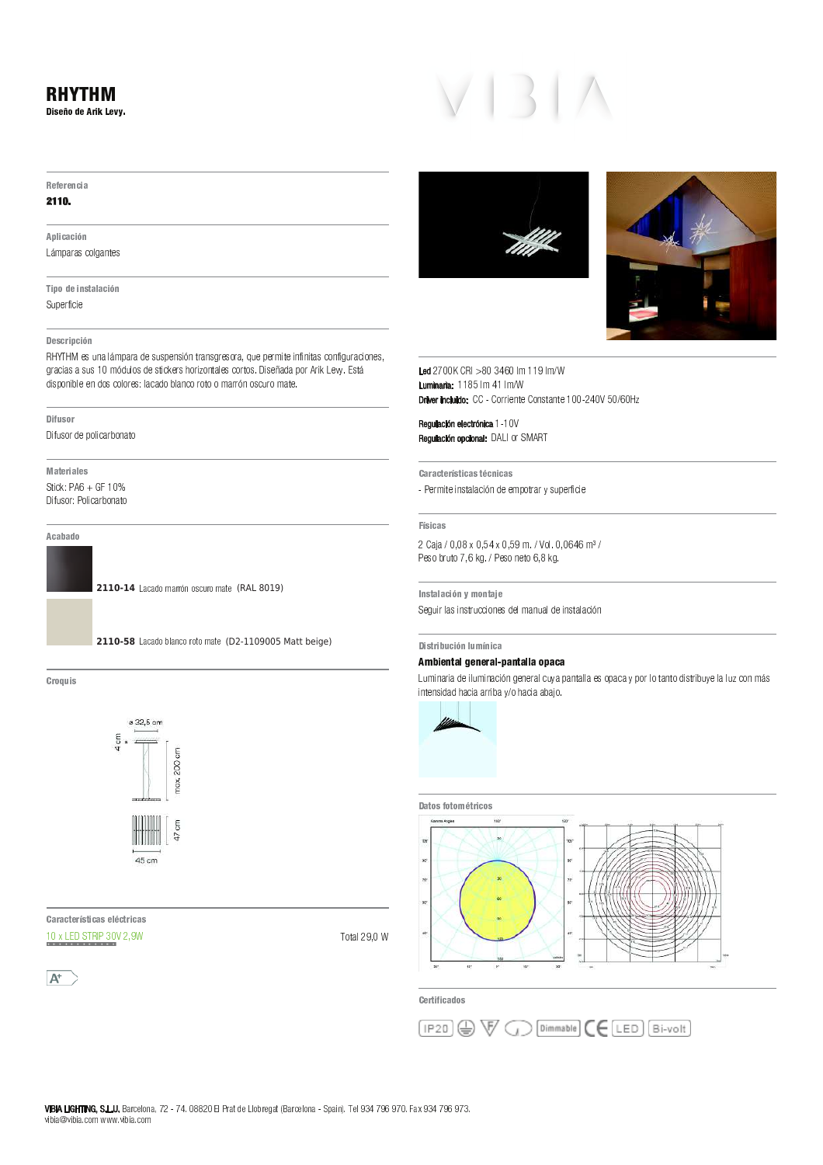# 5 A 5 : 5 B C 3 D Referencia

### 2110.

A plicación Lámparas colgantes

Tipo de instalación

Superficie

### Descripción

Superficie<br>Descripción<br>Descripción V <sup>Q</sup> <sup>P</sup> <sup>S</sup> \_ P <sup>R</sup> <sup>P</sup> <sup>R</sup> ] <sup>R</sup> <sup>i</sup> <sup>j</sup> <sup>N</sup> <sup>f</sup> <sup>e</sup> ] <sup>U</sup> T <sup>R</sup> <sup>e</sup> <sup>Y</sup> <sup>R</sup> <sup>X</sup> \_ S <sup>k</sup> <sup>Y</sup> <sup>Q</sup> <sup>R</sup> <sup>l</sup> <sup>T</sup> <sup>Q</sup> \_ m <sup>T</sup> <sup>W</sup> <sup>X</sup> P <sup>U</sup> Y <sup>R</sup> <sup>S</sup> <sup>T</sup> <sup>Q</sup> <sup>X</sup> T <sup>R</sup> <sup>n</sup> <sup>o</sup> \_ R <sup>Y</sup> <sup>p</sup> <sup>P</sup> <sup>e</sup> <sup>P</sup> <sup>O</sup> <sup>T</sup> <sup>Q</sup> <sup>q</sup> <sup>Q</sup> \_ k <sup>L</sup> <sup>Y</sup> <sup>r</sup> <sup>s</sup> <sup>n</sup> <sup>t</sup> <sup>R</sup> <sup>X</sup> M —<br>Descripción<br>RHYTHM es una lámpara de suspensión transgresora, que permite i<br>gracias a sus 10 módulos de stickers horizontales cortos. Diseñada gracias<br>dispon<br>—————————— \_ ^ ] <sup>R</sup> <sup>T</sup> <sup>Q</sup> <sup>e</sup> <sup>Y</sup> <sup>O</sup> <sup>T</sup> <sup>U</sup> \_ S <sup>P</sup> <sup>Q</sup> <sup>u</sup> <sup>T</sup> <sup>W</sup> <sup>P</sup> <sup>X</sup> T

D [ 5 : 3 D J 5 4

Difusor de policarbo<br>**Materiales**<br>M<mark>ateriales</mark> o \_ ^ ] <sup>R</sup> <sup>T</sup> <sup>Q</sup> <sup>v</sup> <sup>y</sup> <sup>T</sup> <sup>U</sup> \_ S <sup>P</sup> <sup>Q</sup> <sup>u</sup> <sup>T</sup> <sup>W</sup> <sup>P</sup> <sup>X</sup> T

A cabado

**2110-14** Lacado marrón oscuro mate (RAL 8019)



Croquis 7 w 3 4



<u>.</u><br>Características eléctric

 $A^+$ 

T V U g j<br>1990 - 1990 - 1990 - 1990 - 1990 - 1990 - 1990 - 1990 - 1990 - 1990 - 1990 - 1990 - 1990 - 1990 - 1990 - 1990<br>1990 - 1990 - 1990 - 1990 - 1990 - 1990 - 1990 - 1990 - 1990 - 1990 - 1990 - 1990 - 1990 - 1990 - 19





 <sup>j</sup> <sup>j</sup> ` <sup>j</sup> <sup>z</sup> <sup>j</sup> <sup>U</sup> N <sup>i</sup> <sup>i</sup> <sup>U</sup> N Luminaria: 118  $CRI > 803460$ .<br>Debres in objekto  $>$  80 3460 lm 119 lm/W<br>5 lm 41 lm/W

Regulación electrónica 1-10 " ! " <sup>q</sup> <sup>L</sup> <sup>T</sup> <sup>Q</sup> \ <sup>d</sup> <sup>q</sup> ` <sup>c</sup> egulación electrónica 1-1<br>egulación opcional: DALI<br>.

Características técnicas <sup>y</sup> <sup>Y</sup> <sup>Q</sup> <sup>N</sup> \_ X Y \_ W <sup>R</sup> <sup>X</sup> P <sup>U</sup> P <sup>S</sup> \_ f <sup>W</sup> <sup>e</sup> <sup>Y</sup> <sup>Y</sup> <sup>N</sup> <sup>O</sup> <sup>T</sup> <sup>X</sup> Q <sup>P</sup> <sup>Q</sup> <sup>s</sup> <sup>R</sup> ] <sup>O</sup> <sup>Y</sup> <sup>Q</sup> ^ \_ S \_ Y 4 3 C D 4 - Permite instalación de empotrar y superficie<br>Físicas<br>Físicas

#### Físicas

—<br>Físicas<br>2 Caja / 0,08 x 0,54 x 0,59 m. / Vol. (  $\frac{2}{5}$ 2 Caja / 0,08 x 0,54 ><br>Peso bruto 7,6 kg. / P<br>-Peso bruto 7,6 kg. / Peso neto 6,8 kg.

Instalación y montaje Seguir las instrucciones del manual de instalación

## Distribución lumínica \_<br>|<br>|

# Distribución lumínica<br>Ambiental general-pantalla opaca

Distribución lumínica<br>**Ambiental general-pantalla opac**:<br><sub>-</sub>uminaria de iluminación general cuya





Certificados

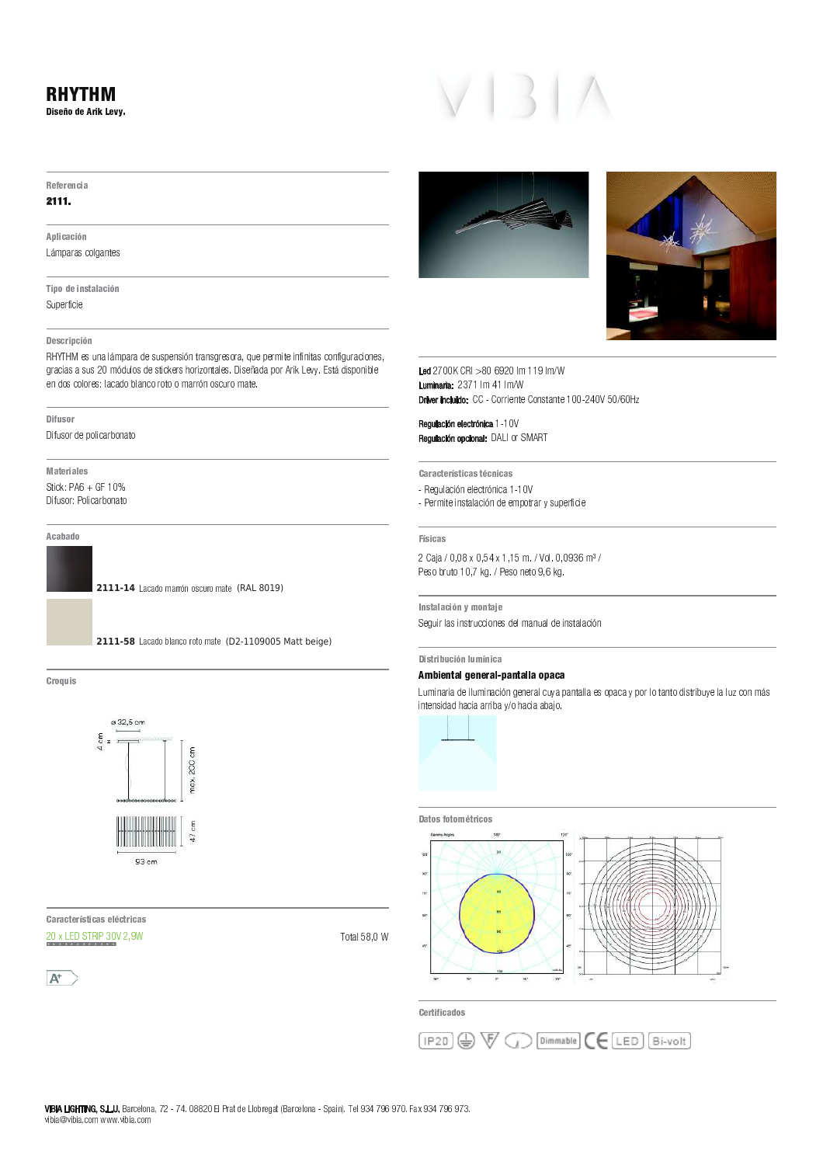### - - - - - - - -2 <sup>3</sup> 4 <sup>5</sup> <sup>6</sup> <sup>7</sup> <sup>8</sup> <sup>5</sup> <sup>9</sup> : <sup>3</sup> ; <sup>&</sup>lt; <sup>5</sup> <sup>=</sup> <sup>&</sup>gt; ?

#### $-$

#### $-$

9 <sup>H</sup> <sup>I</sup> 3 C <sup>D</sup> <sup>C</sup> <sup>3</sup> J <sup>B</sup> K L M N O P O V W Y W X V W X V W X W X V

Y <sup>3</sup> H <sup>7</sup> <sup>8</sup> <sup>5</sup> <sup>3</sup> B <sup>4</sup> <sup>Z</sup> <sup>D</sup> <sup>I</sup> D <sup>C</sup> <sup>3</sup> J <sup>B</sup>  $\mathbf{r} = \mathbf{r} \cdot \mathbf{r}$  and  $\mathbf{r} = \mathbf{r} \cdot \mathbf{r}$ 

#### 2 5 J 9 4 H C 3 H C 3 H C 3 H C 3 H C 3 H C

\_ ` <sup>a</sup> <sup>b</sup> ` <sup>c</sup> <sup>X</sup> <sup>Q</sup> \ <sup>V</sup> <sup>O</sup> <sup>T</sup> L <sup>M</sup> <sup>N</sup> <sup>O</sup> <sup>P</sup> <sup>O</sup> <sup>d</sup> <sup>X</sup> <sup>Q</sup> \ <sup>Q</sup> <sup>N</sup> <sup>X</sup> <sup>V</sup> <sup>Q</sup> ^ e <sup>V</sup> <sup>W</sup> P <sup>O</sup> <sup>V</sup> <sup>Q</sup> <sup>U</sup> <sup>P</sup> <sup>X</sup> <sup>Q</sup> <sup>S</sup> <sup>P</sup> <sup>O</sup> <sup>f</sup> <sup>g</sup> \ <sup>X</sup> <sup>N</sup> <sup>X</sup> <sup>P</sup> <sup>M</sup> ^ W X ^ V ] ^ V ^ W O <sup>Q</sup> <sup>R</sup> <sup>S</sup> <sup>V</sup> ] ^ U \ <sup>P</sup> <sup>O</sup> <sup>R</sup> ^ S <sup>V</sup> <sup>X</sup> <sup>Q</sup> <sup>f</sup> U P O R O R J A H I M E D A L S P L A M N A L D A L D A L D A L D A L D A L D A L D A L D A L D A L D A L D A  $X \sim \mathcal{X}$  s such a set of the set of the set of the set of the set of the set of the set of the set of the set of the set of the set of the set of the set of the set of the set of the set of the set of the set of the se

#### 2 <sup>3</sup> A <sup>v</sup> <sup>4</sup> <sup>7</sup> :

n ^ ] \ <sup>Q</sup> <sup>S</sup> <sup>P</sup> <sup>d</sup> <sup>X</sup> <sup>N</sup> <sup>S</sup> <sup>T</sup> ^ R <sup>O</sup> <sup>P</sup> <sup>t</sup> <sup>S</sup> <sup>V</sup> <sup>O</sup> <sup>W</sup> S

w <sup>D</sup> <sup>Z</sup> <sup>5</sup> : <sup>3</sup> D <sup>I</sup> 5 <sup>4</sup>  $\alpha$  is  $\alpha$  in  $\alpha$   $\alpha$   $\alpha$   $\alpha$   $\alpha$   $\alpha$   $\alpha$ 

n **1 (1)**  $\mathbf{R} \cdot \mathbf{B} = \mathbf{0}$  t  $\mathbf{0} \cdot \mathbf{A} = \mathbf{0}$ 

#### 9 <sup>C</sup> <sup>D</sup> <sup>D</sup> <sup>8</sup> <sup>7</sup>

2111-14 Lacado marrón oscuro mate (RAL 8019)



 $\sim$   $\sim$ 



 <sup>D</sup> : <sup>D</sup> <sup>C</sup> <sup>Z</sup> <sup>5</sup> : 4 <sup>Z</sup> <sup>3</sup> C <sup>D</sup> <sup>4</sup> <sup>5</sup> <sup>I</sup> <sup>C</sup> <sup>Z</sup> : <sup>3</sup> C <sup>D</sup> <sup>4</sup>  $h \circ h$  i for a finite  $h \circ h$  is a

 $A^+$ 







 h <sup>i</sup> <sup>i</sup> \_ <sup>i</sup> <sup>y</sup> <sup>h</sup> <sup>i</sup> <sup>T</sup> M } } <sup>T</sup> M <sup>+</sup> " " h } <sup>T</sup> M } <sup>T</sup> M  $\Gamma$  the include:  $\Gamma\Gamma$  Corriente Constante 100, 240V EQIACU

 " " } } <sup>i</sup> " ! " n <sup>p</sup> <sup>K</sup> <sup>S</sup> <sup>P</sup> [ <sup>c</sup> <sup>p</sup> \_ <sup>b</sup>

D : <sup>D</sup> <sup>C</sup> <sup>Z</sup> <sup>5</sup> : 4 <sup>Z</sup> <sup>3</sup> C <sup>D</sup> <sup>4</sup> <sup>Z</sup> <sup>C</sup> <sup>B</sup> <sup>3</sup> C <sup>D</sup> <sup>4</sup>

- $X = \frac{1}{2} \left( \frac{1}{2} \right)^2 + \frac{1}{2} \left( \frac{1}{2} \right)^2 + \frac{1}{2} \left( \frac{1}{2} \right)^2 + \frac{1}{2} \left( \frac{1}{2} \right)^2 + \frac{1}{2} \left( \frac{1}{2} \right)^2 + \frac{1}{2} \left( \frac{1}{2} \right)^2 + \frac{1}{2} \left( \frac{1}{2} \right)^2 + \frac{1}{2} \left( \frac{1}{2} \right)^2 + \frac{1}{2} \left( \frac{1}{2} \right)^2 + \frac{1}{2} \left( \frac{1}{2} \right)^$
- <sup>x</sup> <sup>X</sup> <sup>P</sup> <sup>M</sup> ^ W X ^ V <sup>Q</sup> <sup>W</sup> O <sup>T</sup> O <sup>R</sup> ^ e <sup>V</sup> <sup>d</sup> <sup>X</sup> <sup>X</sup> <sup>M</sup> <sup>N</sup> <sup>S</sup> <sup>W</sup> P <sup>O</sup> <sup>P</sup> <sup>r</sup> <sup>Q</sup> \ <sup>N</sup> <sup>X</sup> <sup>P</sup> ] ^ R ^ X

 $-1$   $-1$ 

h <sup>O</sup> O <sup>i</sup> <sup>f</sup> i <sup>i</sup> <sup>f</sup> } <sup>f</sup> } <sup>M</sup> <sup>m</sup> <sup>S</sup> <sup>T</sup> <sup>m</sup> <sup>i</sup> <sup>f</sup> i <sup>y</sup> <sup>M</sup>  $x \sim 10^{-10}$  in the set of the set of  $\sim 10^{-10}$  M s  $\sim 10^{-10}$  M s  $\sim 10^{-10}$ 

 $\mathcal{L} \hspace{0.2cm}$   $\mathcal{L} \hspace{0.2cm}$   $\mathcal{L} \hspace{0.2cm}$   $\mathcal{L} \hspace{0.2cm}$   $\mathcal{L} \hspace{0.2cm}$   $\mathcal{L} \hspace{0.2cm}$   $\mathcal{L} \hspace{0.2cm}$   $\mathcal{L} \hspace{0.2cm}$   $\mathcal{L} \hspace{0.2cm}$   $\mathcal{L} \hspace{0.2cm}$   $\mathcal{L} \hspace{0.2cm}$   $\mathcal{L} \hspace{0.2cm}$   $\mathcal{$ 

2 <sup>3</sup> 4 <sup>Z</sup> : <sup>3</sup> <sup>v</sup> <sup>C</sup> <sup>3</sup> J <sup>B</sup> <sup>I</sup> v B <sup>3</sup> C <sup>D</sup>

#### ¡ ¢ £ ¤ ¥ ¦ § ¨ £ ¤ £ © ¦ § ª « ¦ ¤ ¥ ¦ § § ¦ <sup>¬</sup> « ¦ ¦

 $K \sim \mathcal{N}$  or one can be very denote the very denote  $\mathcal{N}$  or  $\mathcal{N}$  or  $\mathcal{N}$  or  $\mathcal{N}$  and  $\mathcal{N}$  or  $\mathcal{N}$  or  $\mathcal{N}$  and  $\mathcal{N}$  or  $\mathcal{N}$  and  $\mathcal{N}$  and  $\mathcal{N}$  and  $\mathcal{N}$  and  $\mathcal{N}$  and  $\mathcal$ 



#### 2 D Z 7 4 A 7 4 A 7 4 A 7 4 A 7 4 A 7 4 A 7 4 A 7 4 A 7 4 A 7 4 A 7 4 A 7 4 A 7 4 A 7 4 A 7 4 A 7 4 A 7 4 A 7



5 : <sup>Z</sup> <sup>3</sup> A <sup>3</sup> C <sup>D</sup> <sup>8</sup> <sup>7</sup> <sup>4</sup>

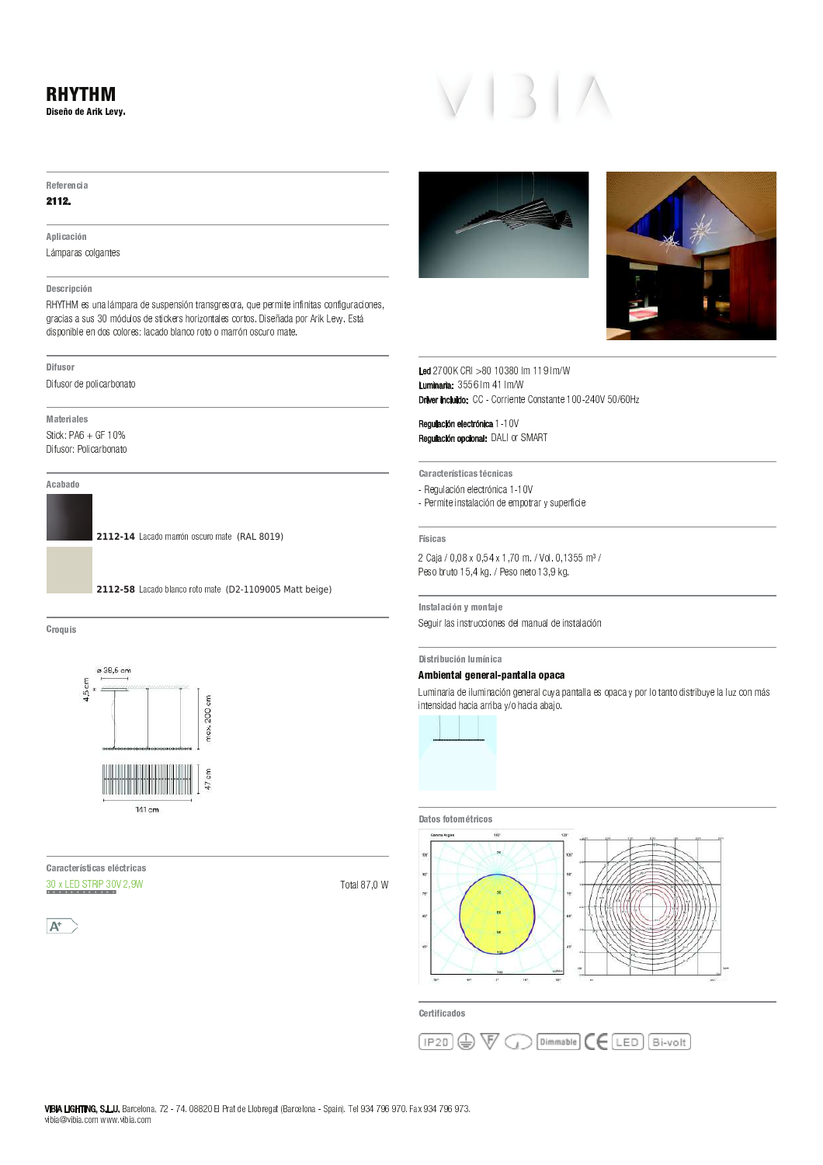# RHYTHM

Diseño de Arik Levy.

#### Referencia

## $2112.$

#### A plicación

Lámparas colgantes

### Descripción

RHYTHM es una lámpara de suspensión transgresora, que permite infinitas configuraciones, gracias a sus 30 módulos de stickers horizontales cortos. Diseñada por Arik Levy. Está disponible en dos colores: lacado blanco roto o marrón oscuro mate.

#### Difusor

Difusor de policarbonato

**Materiales** Stick:  $PA6 + GF 10%$ 

Difusor: Policarbonato



**2112-14** Lacado marrón oscuro mate (RAL 8019)



#### $\sim$  3  $\sim$  3  $\sim$



D : D : D : 4 : 4 5 E : 4 5 I : 4 5 E : 4 5 E : 4 5 E : 4 5 E : 4 5 E : 4 5 E : 4 5 E : 4 5 E : 4 5 E : 4 5 E :  $\frac{30 \times LED \times MP}{20}$  30 × 2,9 W

Total 87,0 W







 $f \circ f = f \circ f \circ f$  and  $f \circ f \circ f \circ f$  is the form of  $f$ + + 0-0-0-1-1-1  $\mathsf{D}$  there included  $\mathsf{C}\mathsf{C}$  . Corriente Constants 100, 240V EQ(60H)

 " " <sup>|</sup> <sup>|</sup> <sup>f</sup> " ! " <sup>k</sup> <sup>m</sup> <sup>K</sup> <sup>S</sup> <sup>P</sup> <sup>v</sup> ] <sup>m</sup> <sup>Y</sup> \

<sup>D</sup> : <sup>D</sup> <sup>C</sup> <sup>u</sup> <sup>5</sup> : 4 <sup>u</sup> 3 C <sup>D</sup> <sup>4</sup> <sup>u</sup> <sup>C</sup> <sup>B</sup> 3 C <sup>D</sup> <sup>4</sup>

- Regulación electrónica 1-10V
- Permite instalación de empotrar y superficie

#### **Físicas**

2 Caja / 0,08 x 0,54 x 1,70 m. / Vol. 0,1355 m<sup>3</sup> / Peso bruto 15,4 kg. / Peso neto 13,9 kg.

Instalación y montaje Seguir las instrucciones del manual de instalación

Distribución lumínica

### Ambiental general-pantalla opaca

Luminaria de iluminación general cuva pantalla es opaca y por lo tanto distribuye la luz con más intensidad hacia arriba y/o hacia abajo.



#### Datos fotométricos



<sup>5</sup> : <sup>u</sup> 3 A 3 C <sup>D</sup> <sup>8</sup> <sup>7</sup> <sup>4</sup>

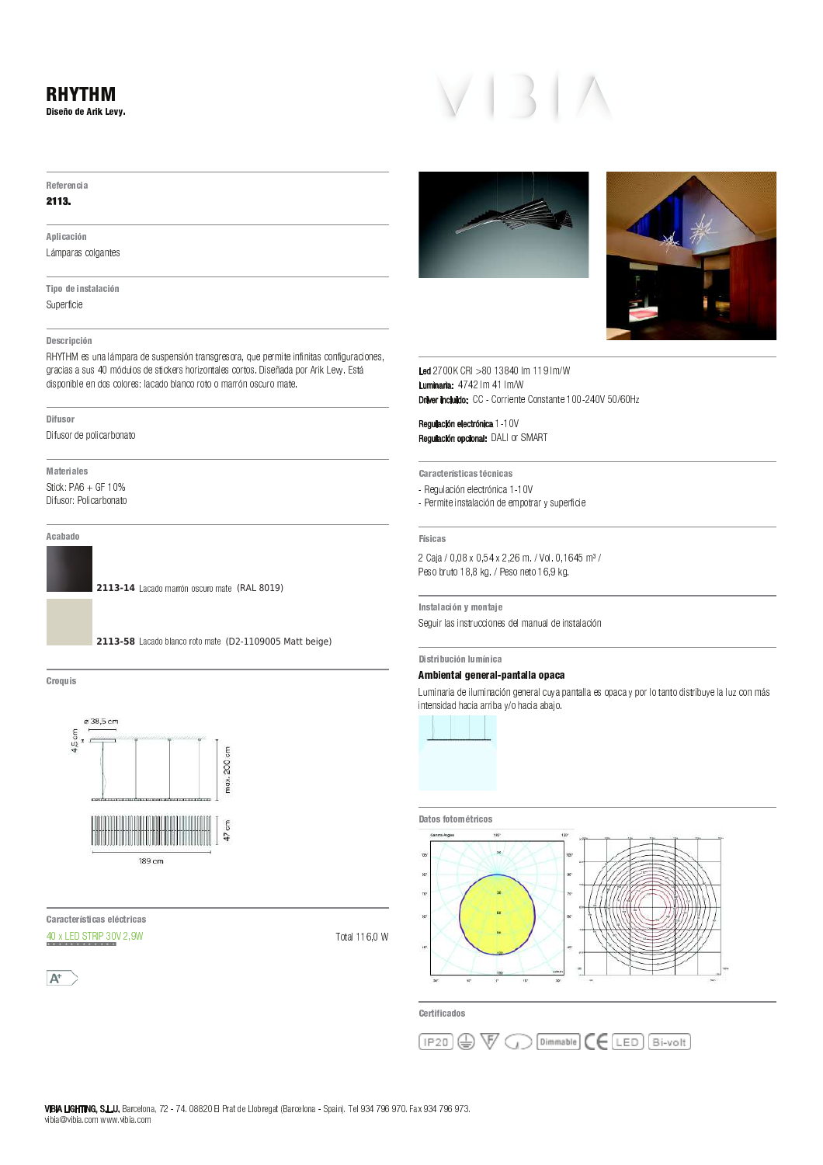# 5 A 5 : 5 B C 3 D Referencia

## 2113.

A plicación Lámparas colgantes

Tipo de instalación

Superficie

## Descripción

Superficie<br>Descripción<br>Descripción V <sup>Q</sup> <sup>P</sup> <sup>S</sup> \_ P <sup>R</sup> <sup>P</sup> <sup>R</sup> ] <sup>R</sup> <sup>i</sup> <sup>j</sup> <sup>N</sup> <sup>f</sup> <sup>e</sup> ] <sup>U</sup> T <sup>R</sup> <sup>e</sup> <sup>Y</sup> <sup>R</sup> <sup>X</sup> \_ S <sup>k</sup> <sup>Y</sup> <sup>Q</sup> <sup>R</sup> <sup>l</sup> <sup>T</sup> <sup>Q</sup> \_ m <sup>T</sup> <sup>W</sup> <sup>X</sup> P <sup>U</sup> Y <sup>R</sup> <sup>S</sup> <sup>T</sup> <sup>Q</sup> <sup>X</sup> T <sup>R</sup> <sup>n</sup> <sup>o</sup> \_ R <sup>Y</sup> <sup>p</sup> <sup>P</sup> <sup>e</sup> <sup>P</sup> <sup>O</sup> <sup>T</sup> <sup>Q</sup> <sup>q</sup> <sup>Q</sup> \_ k <sup>L</sup> <sup>Y</sup> <sup>r</sup> <sup>s</sup> <sup>n</sup> <sup>t</sup> <sup>R</sup> <sup>X</sup> M —<br>Descripción<br>RHYTHM es una lámpara de suspensión transgresora, que permite i<br>gracias a sus 40 módulos de stickers horizontales cortos. Diseñada gracias<br>dispon<br>—————————— \_ ^ ] <sup>R</sup> <sup>T</sup> <sup>Q</sup> <sup>e</sup> <sup>Y</sup> <sup>O</sup> <sup>T</sup> <sup>U</sup> \_ S <sup>P</sup> <sup>Q</sup> <sup>u</sup> <sup>T</sup> <sup>W</sup> <sup>P</sup> <sup>X</sup> T

D [ 5 : 3 D J 5 4

Difusor de policarbo<br>**Materiales**<br>M<mark>ateriales</mark> o \_ ^ ] <sup>R</sup> <sup>T</sup> <sup>Q</sup> <sup>v</sup> <sup>y</sup> <sup>T</sup> <sup>U</sup> \_ S <sup>P</sup> <sup>Q</sup> <sup>u</sup> <sup>T</sup> <sup>W</sup> <sup>P</sup> <sup>X</sup> T

A cabado

**2113-14** Lacado marrón oscuro mate (RAL 8019)



Croquis 7 w 3 4



<u>.</u><br>Características eléctric

 $\frac{1}{2}$ 







 <sup>j</sup> <sup>j</sup> ` <sup>j</sup> <sup>~</sup> <sup>i</sup> <sup>j</sup> <sup>U</sup> N <sup>~</sup> <sup>~</sup> <sup>U</sup> N Luminaria: 474  $\frac{1}{100}$  CRI  $> 80$  13840 .<br>Debres in objekto <sup>T</sup> <sup>Q</sup> <sup>Q</sup> \_ Y <sup>W</sup> <sup>X</sup> Y <sup>T</sup> <sup>W</sup> <sup>R</sup> <sup>X</sup> P <sup>W</sup> <sup>X</sup> Y <sup>~</sup> <sup>j</sup> <sup>j</sup> <sup>i</sup> <sup>j</sup> <sup>j</sup> <sup>z</sup> <sup>j</sup> <sup>a</sup> <sup>m</sup>

Regulación electrónica 1-10 " ! " <sup>q</sup> <sup>L</sup> <sup>T</sup> <sup>Q</sup> \ <sup>d</sup> <sup>q</sup> ` <sup>c</sup> egulación electrónica 1-1<br>egulación opcional: DALI<br>. ` <sup>Y</sup> <sup>V</sup> ] <sup>U</sup> P <sup>S</sup> \_ f <sup>W</sup> <sup>Y</sup> <sup>U</sup> Y <sup>S</sup> <sup>X</sup> Q <sup>f</sup> <sup>W</sup> \_ S <sup>P</sup> <sup>~</sup> <sup>~</sup> <sup>j</sup>

Características técnicas

\_<br>Características técnicas<br>- Regulación electrónica 1-10V

 4 3 C D 4 - Permite instalación de empotrar y superficie<br>Pisicas<br>Físicas

—<br>Físicas<br>2 Caja / 0,08 x 0,54 x 2,26 m. / Vol. 0,1  $\frac{2}{5}$ <sup>4</sup> [ <sup>D</sup> <sup>J</sup> D <sup>C</sup> <sup>3</sup> K <sup>B</sup> <sup>&</sup>gt; <sup>7</sup> <sup>B</sup> [ <sup>D</sup> 5

Peso bruto 18,8 kg. / Peso neto 16,9 kg.<br>|<br>|nstalación y montaje Instalación y <mark>montaj</mark><br>Seguir las instruccion<br>.

 ¡ ¢ £ ¤ ¥ ¦ § ¨ © ¤ ¥ ¤ <sup>ª</sup> § ¨ « <sup>¬</sup> § ¥ ¦ § ¨ ¨ § <sup>¬</sup> § ® § \_<br>|<br>|

# Distribución lumínica<br>Ambiental general-pantalla opaca

Dis**tribución lumínica<br>Ambiental general-pantalla opaca**<br>Luminaria de iluminación general cuya pantalla es opaca y por lo tanto distribuye la luz con más<br>intensidad hacia arriba y/o hacia abajo.



# <sup>D</sup> [ <sup>7</sup> <sup>4</sup> <sup>A</sup> <sup>7</sup> [ <sup>7</sup> [ : <sup>3</sup> C <sup>7</sup> <sup>4</sup>



Certificados

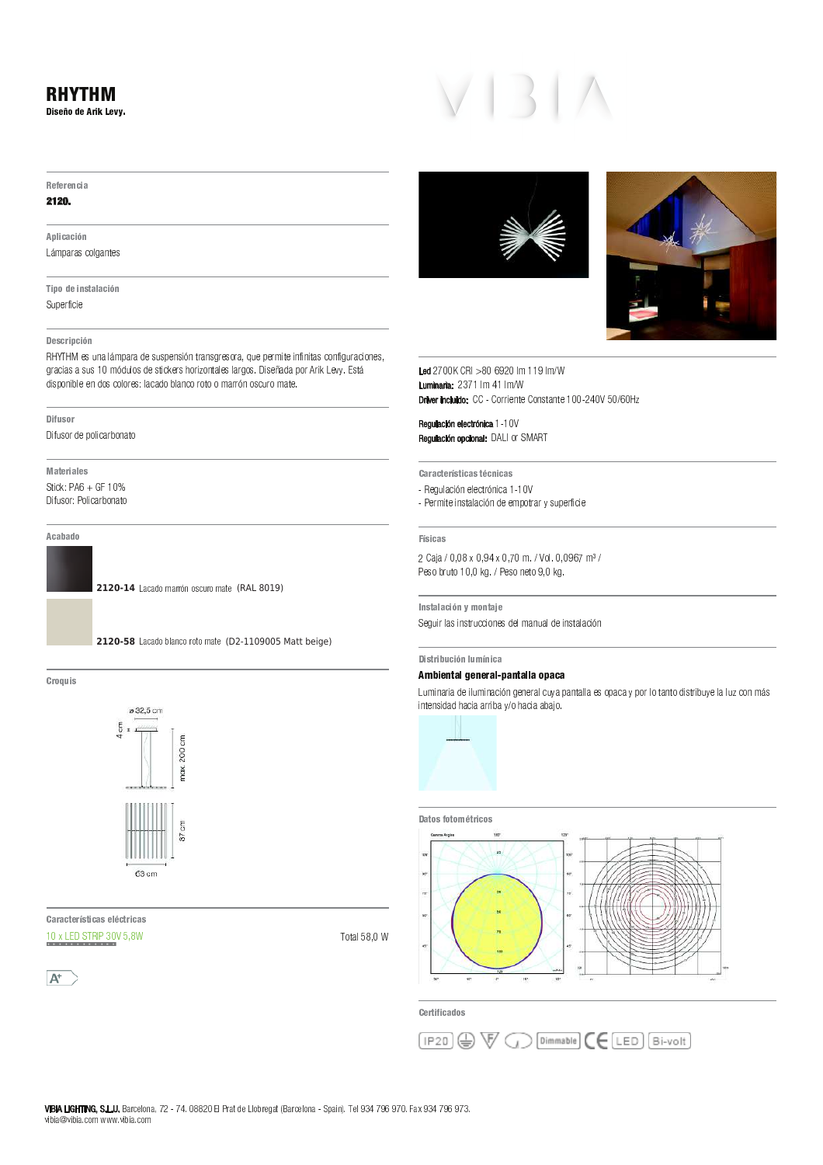# 5 A 5 : 5 B C 3 D **Referencia**

### 2120.

A plicación Lámparas colgantes

Tipo de instalación Superficie

# Descripción Superficie<br>Descripción<br>Descripción

V <sup>Q</sup> <sup>P</sup> <sup>S</sup> \_ P <sup>R</sup> <sup>P</sup> <sup>R</sup> ] <sup>R</sup> <sup>i</sup> <sup>j</sup> <sup>N</sup> <sup>f</sup> <sup>e</sup> ] <sup>U</sup> T <sup>R</sup> <sup>e</sup> <sup>Y</sup> <sup>R</sup> <sup>X</sup> \_ S <sup>k</sup> <sup>Y</sup> <sup>Q</sup> <sup>R</sup> <sup>l</sup> <sup>T</sup> <sup>Q</sup> \_ m <sup>T</sup> <sup>W</sup> <sup>X</sup> P <sup>U</sup> Y <sup>R</sup> <sup>U</sup> P <sup>Q</sup> <sup>V</sup> <sup>T</sup> <sup>R</sup> <sup>n</sup> <sup>o</sup> \_ R <sup>Y</sup> <sup>p</sup> <sup>P</sup> <sup>e</sup> <sup>P</sup> <sup>O</sup> <sup>T</sup> <sup>Q</sup> <sup>q</sup> <sup>Q</sup> \_ k <sup>L</sup> <sup>Y</sup> <sup>r</sup> <sup>s</sup> <sup>n</sup> <sup>t</sup> <sup>R</sup> <sup>X</sup> M —<br>Descripción<br>RHYTHM es una lámpara de suspensión transgresora, que permite i<br>gracias a sus 10 módulos de stickers horizontales largos. Diseñada gracias<br>dispon<br>—————————— \_ ^ ] <sup>R</sup> <sup>T</sup> <sup>Q</sup> <sup>e</sup> <sup>Y</sup> <sup>O</sup> <sup>T</sup> <sup>U</sup> \_ S <sup>P</sup> <sup>Q</sup> <sup>u</sup> <sup>T</sup> <sup>W</sup> <sup>P</sup> <sup>X</sup> T

D [ 5 : 3 D J 5 4

Difusor de policarbo<br>**Materiales**<br>M<mark>ateriales</mark> o \_ ^ ] <sup>R</sup> <sup>T</sup> <sup>Q</sup> <sup>v</sup> <sup>y</sup> <sup>T</sup> <sup>U</sup> \_ S <sup>P</sup> <sup>Q</sup> <sup>u</sup> <sup>T</sup> <sup>W</sup> <sup>P</sup> <sup>X</sup> T

A cabado

**2120-14** Lacado marrón oscuro mate (RAL 8019)



Croquis 7 w 3 4



<u>.</u><br>Características eléctric

 $A^+$ 







 $\frac{1}{2}$   $\frac{1}{2}$   $\frac{1}{2}$   $\frac{1}{2}$   $\frac{1}{2}$   $\frac{1}{2}$   $\frac{1}{2}$   $\frac{1}{2}$   $\frac{1}{2}$   $\frac{1}{2}$   $\frac{1}{2}$   $\frac{1}{2}$   $\frac{1}{2}$   $\frac{1}{2}$   $\frac{1}{2}$   $\frac{1}{2}$   $\frac{1}{2}$   $\frac{1}{2}$   $\frac{1}{2}$   $\frac{1}{2}$   $\frac{1}{2}$   $\frac{1}{2}$  <u>u</u> Luminaria: 237  $>80$  6920 Drher ingluider CC Corriente Constante 100 040V EO/GOH  $>$  80 6920 lm 119 lm/W<br>1 lm 41 lm/W

Regulación electrónica 1-10 " ! " <sup>q</sup> <sup>L</sup> <sup>T</sup> <sup>Q</sup> \ <sup>d</sup> <sup>q</sup> ` <sup>c</sup> egulación electrónica 1-1<br>egulación opcional: DALI<br>. ` <sup>Y</sup> <sup>V</sup> ] <sup>U</sup> P <sup>S</sup> \_ f <sup>W</sup> <sup>Y</sup> <sup>U</sup> Y <sup>S</sup> <sup>X</sup> Q <sup>f</sup> <sup>W</sup> \_ S <sup>P</sup> <sup>i</sup> <sup>i</sup> <sup>j</sup>

Características técnicas

- \_<br>Características técnicas<br>- Regulación electrónica 1-10V
- 4 3 C D 4 Permite instalación de empotrar y superf<br>sicas<br>sicas

\_<br>Físicas<br>2 Caja / 0,08 x 0,94 x 0,70 m. / Vol. 0,0967 m<sup>3</sup>  $\frac{2}{\pi}$ <sup>4</sup> [ <sup>D</sup> <sup>J</sup> D <sup>C</sup> <sup>3</sup> K <sup>B</sup> <sup>&</sup>gt; <sup>7</sup> <sup>B</sup> [ <sup>D</sup> 5

Peso bruto 10,0 kg. / Peso neto 9,0 kg.<br>|<br>|nstalación y montaje Instalación y <mark>montaj</mark><br>Seguir las instruccion<br>. ¡ ¢ £ ¤ ¥ ¦ § ¨ © ¤ ¥ ¤ <sup>ª</sup> § ¨ « <sup>¬</sup> § ¥ ¦ § ¨ ¨ § <sup>¬</sup> § ® §

# \_<br>|<br>|

# Distribución lumínica<br>Ambiental general-pantalla opaca

Dis**tribución lumínica<br>Ambiental general-pantalla opaca**<br>Luminaria de iluminación general cuya pantalla es opaca y por lo tanto distribuye la luz con más<br>intensidad hacia arriba y/o hacia abajo.





Certificados

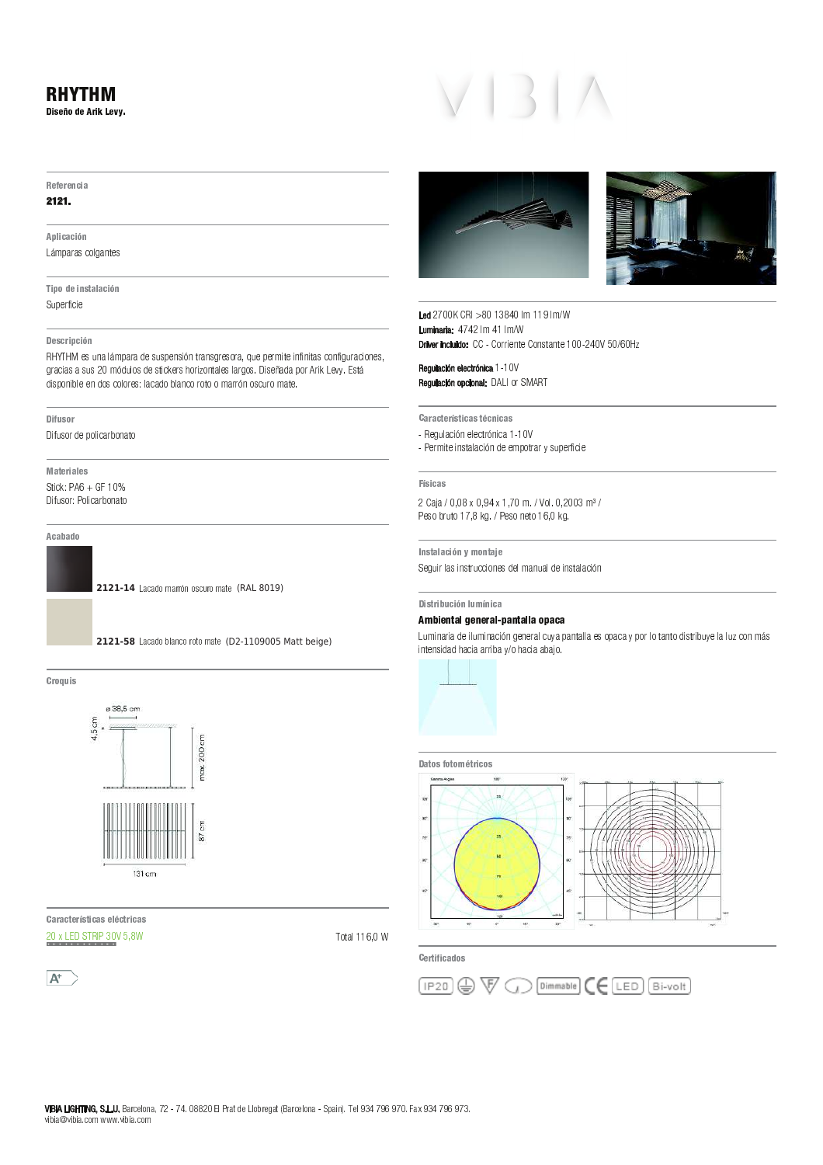### - - - - - - - -2 <sup>3</sup> 4 <sup>5</sup> <sup>6</sup> <sup>7</sup> <sup>8</sup> <sup>5</sup> <sup>9</sup> : <sup>3</sup> ; <sup>&</sup>lt; <sup>5</sup> <sup>=</sup> <sup>&</sup>gt; ?

#### $-$

#### $-$

9 <sup>H</sup> <sup>I</sup> 3 C <sup>D</sup> <sup>C</sup> <sup>3</sup> J <sup>B</sup> K L M N O P O V W Y W X V W X V W X W X V

Y <sup>3</sup> H <sup>7</sup> <sup>8</sup> <sup>5</sup> <sup>3</sup> B <sup>4</sup> <sup>Z</sup> <sup>D</sup> <sup>I</sup> D <sup>C</sup> <sup>3</sup> J <sup>B</sup>  $\mathbf{r} = \mathbf{r} \cdot \mathbf{r}$  and  $\mathbf{r} = \mathbf{r} \cdot \mathbf{r}$ 

#### 2 5 J 9 4 H C 3 H C 3 H C 3 H C 3 H C 3 H C

\_ ` <sup>a</sup> <sup>b</sup> ` <sup>c</sup> <sup>X</sup> <sup>Q</sup> \ <sup>V</sup> <sup>O</sup> <sup>T</sup> L <sup>M</sup> <sup>N</sup> <sup>O</sup> <sup>P</sup> <sup>O</sup> <sup>d</sup> <sup>X</sup> <sup>Q</sup> \ <sup>Q</sup> <sup>N</sup> <sup>X</sup> <sup>V</sup> <sup>Q</sup> ^ e <sup>V</sup> <sup>W</sup> P <sup>O</sup> <sup>V</sup> <sup>Q</sup> <sup>U</sup> <sup>P</sup> <sup>X</sup> <sup>Q</sup> <sup>S</sup> <sup>P</sup> <sup>O</sup> <sup>f</sup> <sup>g</sup> \ <sup>X</sup> <sup>N</sup> <sup>X</sup> <sup>P</sup> <sup>M</sup> ^ W X ^ V ] ^ V ^ W O <sup>Q</sup> <sup>R</sup> <sup>S</sup> <sup>V</sup> ] ^ U \ <sup>P</sup> <sup>O</sup> <sup>R</sup> ^ S <sup>V</sup> <sup>X</sup> <sup>Q</sup> <sup>f</sup> U P O R O G O D A J A J A J A L S P L S V W O T O D D L M H I D L M N N D D D O D O N S P P P P P P P P P P P P d  $\alpha$  S  $\alpha$  t T  $\alpha$  s  $\alpha$  and  $\alpha$  t  $\alpha$  t  $\alpha$  t t  $\alpha$  t o v  $\alpha$  s  $\alpha$  w s  $\alpha$  w  $\alpha$  w  $\alpha$  w  $\alpha$  m o w  $\alpha$  w  $\alpha$  w  $\alpha$  w  $\alpha$  w  $\alpha$  w  $\alpha$  w  $\alpha$  w  $\alpha$  w  $\alpha$  w  $\alpha$  w  $\alpha$  w  $\alpha$  w  $\alpha$  w  $\alpha$  w  $\alpha$  w

#### 2 <sup>3</sup> A <sup>v</sup> <sup>4</sup> <sup>7</sup> :

n ^ ] \ <sup>Q</sup> <sup>S</sup> <sup>P</sup> <sup>d</sup> <sup>X</sup> <sup>N</sup> <sup>S</sup> <sup>T</sup> ^ R <sup>O</sup> <sup>P</sup> <sup>t</sup> <sup>S</sup> <sup>V</sup> <sup>O</sup> <sup>W</sup> S

w <sup>D</sup> <sup>Z</sup> <sup>5</sup> : <sup>3</sup> D <sup>I</sup> 5 <sup>4</sup>  $\alpha$  is  $\alpha$  in  $\alpha$   $\alpha$   $\alpha$   $\alpha$   $\alpha$   $\alpha$   $\alpha$ n **1 (1)**  $\mathbf{R} \cdot \mathbf{B} = \mathbf{0}$  t  $\mathbf{0} \cdot \mathbf{A} = \mathbf{0}$ 

9 <sup>C</sup> <sup>D</sup> <sup>D</sup> <sup>8</sup> <sup>7</sup>

2121-14 Lacado marrón oscuro mate (RAL 8019)



 $\sim$   $\sim$ 



 <sup>D</sup> : <sup>D</sup> <sup>C</sup> <sup>Z</sup> <sup>5</sup> : 4 <sup>Z</sup> <sup>3</sup> C <sup>D</sup> <sup>4</sup> <sup>5</sup> <sup>I</sup> <sup>C</sup> <sup>Z</sup> : <sup>3</sup> C <sup>D</sup> <sup>4</sup>  $h \circ h$  i for a finite  $h \circ h$  is a

<del>w</del> . . . . . . .







 h <sup>i</sup> <sup>i</sup> \_ <sup>i</sup> } <sup>i</sup> <sup>T</sup> M } } <sup>T</sup> M <sup>+</sup> " " <sup>h</sup> <sup>T</sup> M } <sup>T</sup> M  $\Gamma$  the induide:  $\Gamma \Gamma$  Corriente Constante 100, 240V EQIGAL

 " " } } <sup>i</sup> " ! " n <sup>p</sup> <sup>K</sup> <sup>S</sup> <sup>P</sup> [ <sup>c</sup> <sup>p</sup> \_ <sup>b</sup>

D : <sup>D</sup> <sup>C</sup> <sup>Z</sup> <sup>5</sup> : 4 <sup>Z</sup> <sup>3</sup> C <sup>D</sup> <sup>4</sup> <sup>Z</sup> <sup>C</sup> <sup>B</sup> <sup>3</sup> C <sup>D</sup> <sup>4</sup>

 $X = \frac{1}{2} \left( \frac{1}{2} \right)^2 + \frac{1}{2} \left( \frac{1}{2} \right)^2 + \frac{1}{2} \left( \frac{1}{2} \right)^2 + \frac{1}{2} \left( \frac{1}{2} \right)^2 + \frac{1}{2} \left( \frac{1}{2} \right)^2 + \frac{1}{2} \left( \frac{1}{2} \right)^2 + \frac{1}{2} \left( \frac{1}{2} \right)^2 + \frac{1}{2} \left( \frac{1}{2} \right)^2 + \frac{1}{2} \left( \frac{1}{2} \right)^2 + \frac{1}{2} \left( \frac{1}{2} \right)^$ 

 $\mathbf{x} = \mathbf{x} - \mathbf{y}$  and  $\mathbf{x} = \mathbf{y} - \mathbf{y}$  and  $\mathbf{x} = \mathbf{y} - \mathbf{y}$  . The probability of  $\mathbf{x} = \mathbf{y} - \mathbf{y}$ 

#### $-1$   $-1$

h <sup>O</sup> O <sup>i</sup> <sup>f</sup> i <sup>i</sup> <sup>f</sup> } <sup>f</sup> <sup>i</sup> <sup>M</sup> <sup>m</sup> <sup>S</sup> <sup>T</sup> <sup>m</sup> <sup>i</sup> <sup>f</sup> h <sup>i</sup> <sup>i</sup> <sup>M</sup>  $\omega$  . The set  $\omega$  s is the set of the set  $\omega$  in the set of  $\omega$  is the set of  $\omega$ 

 $\mathcal{L} \hspace{0.2cm}$   $\mathcal{L} \hspace{0.2cm}$   $\mathcal{L} \hspace{0.2cm}$   $\mathcal{L} \hspace{0.2cm}$   $\mathcal{L} \hspace{0.2cm}$   $\mathcal{L} \hspace{0.2cm}$   $\mathcal{L} \hspace{0.2cm}$   $\mathcal{L} \hspace{0.2cm}$   $\mathcal{L} \hspace{0.2cm}$   $\mathcal{L} \hspace{0.2cm}$   $\mathcal{L} \hspace{0.2cm}$   $\mathcal{L} \hspace{0.2cm}$   $\mathcal{$ 

#### 2 <sup>3</sup> 4 <sup>Z</sup> : <sup>3</sup> <sup>v</sup> <sup>C</sup> <sup>3</sup> J <sup>B</sup> <sup>I</sup> v B <sup>3</sup> C <sup>D</sup>

#### ¡ ¢ £ ¤ ¥ ¦ § ¨ £ ¤ £ © ¦ § ª « ¦ ¤ ¥ ¦ § § ¦ <sup>¬</sup> « ¦ ¦

K  $\Lambda$  or or or or or or or  $\Lambda$  . The vertex density of  $\Lambda$  or  $\Lambda$  or  $\Lambda$  the vertex density of  $\Lambda$ 



#### 2 D Z 7 4 A 7 4 A 7 4 A 7 4 A 7 4 A 7 4 A 7 4 A 7 4 A 7 4 A 7 4 A 7 4 A 7 4 A 7 4 A 7 4 A 7 4 A 7 4 A 7 4 A 7



5 : <sup>Z</sup> <sup>3</sup> A <sup>3</sup> C <sup>D</sup> <sup>8</sup> <sup>7</sup> <sup>4</sup>

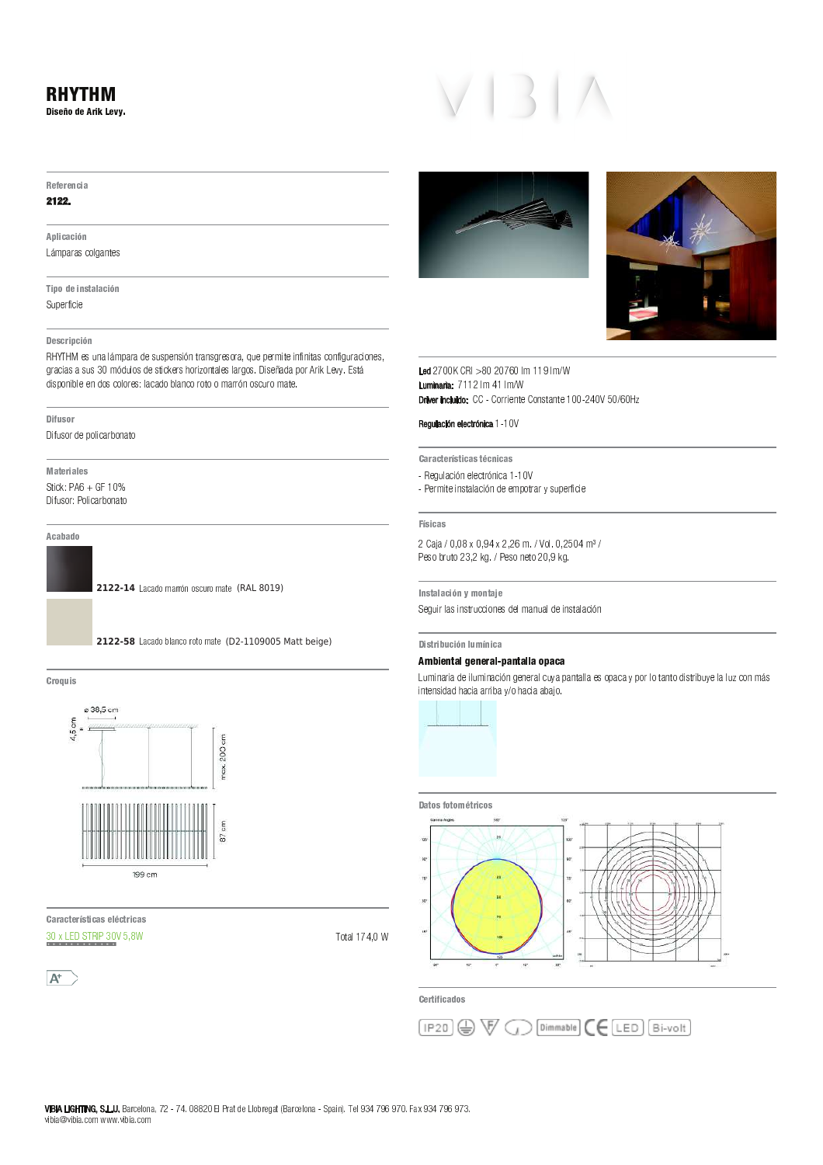### - - - - - - - -2 <sup>3</sup> 4 <sup>5</sup> <sup>6</sup> <sup>7</sup> <sup>8</sup> <sup>5</sup> <sup>9</sup> : <sup>3</sup> ; <sup>&</sup>lt; <sup>5</sup> <sup>=</sup> <sup>&</sup>gt; ?

#### $-$

#### $-1 - 1$

#### 9 <sup>H</sup> <sup>I</sup> 3 C <sup>D</sup> <sup>C</sup> <sup>3</sup> J <sup>B</sup> K L M N O P O V W Y W X V W X V W X W X V

Y <sup>3</sup> H <sup>7</sup> <sup>8</sup> <sup>5</sup> <sup>3</sup> B <sup>4</sup> <sup>Z</sup> <sup>D</sup> <sup>I</sup> D <sup>C</sup> <sup>3</sup> J <sup>B</sup>  $\mathbf{r} = \mathbf{r} \cdot \mathbf{r}$  and  $\mathbf{r} = \mathbf{r} \cdot \mathbf{r}$ 

#### 2 5 J 9 4 H C 3 H C 3 H C 3 H C 3 H C 3 H C

\_ ` <sup>a</sup> <sup>b</sup> ` <sup>c</sup> <sup>X</sup> <sup>Q</sup> \ <sup>V</sup> <sup>O</sup> <sup>T</sup> L <sup>M</sup> <sup>N</sup> <sup>O</sup> <sup>P</sup> <sup>O</sup> <sup>d</sup> <sup>X</sup> <sup>Q</sup> \ <sup>Q</sup> <sup>N</sup> <sup>X</sup> <sup>V</sup> <sup>Q</sup> ^ e <sup>V</sup> <sup>W</sup> P <sup>O</sup> <sup>V</sup> <sup>Q</sup> <sup>U</sup> <sup>P</sup> <sup>X</sup> <sup>Q</sup> <sup>S</sup> <sup>P</sup> <sup>O</sup> <sup>f</sup> <sup>g</sup> \ <sup>X</sup> <sup>N</sup> <sup>X</sup> <sup>P</sup> <sup>M</sup> ^ W X ^ V ] ^ V ^ W O <sup>Q</sup> <sup>R</sup> <sup>S</sup> <sup>V</sup> ] ^ U \ <sup>P</sup> <sup>O</sup> <sup>R</sup> ^ S <sup>V</sup> <sup>X</sup> <sup>Q</sup> <sup>f</sup> U <sup>P</sup> <sup>O</sup> <sup>R</sup> ^ O <sup>Q</sup> <sup>O</sup> <sup>Q</sup> \ <sup>Q</sup> <sup>h</sup> <sup>i</sup> <sup>M</sup> <sup>e</sup> <sup>d</sup> \ <sup>T</sup> S <sup>Q</sup> <sup>d</sup> <sup>X</sup> <sup>Q</sup> <sup>W</sup> ^ R <sup>j</sup> <sup>X</sup> <sup>P</sup> <sup>Q</sup> <sup>k</sup> <sup>S</sup> <sup>P</sup> ^ l <sup>S</sup> <sup>V</sup> <sup>W</sup> O <sup>T</sup> X <sup>Q</sup> <sup>T</sup> O <sup>P</sup> <sup>U</sup> <sup>S</sup> <sup>Q</sup> <sup>m</sup> <sup>n</sup> ^ Q <sup>X</sup> <sup>o</sup> <sup>O</sup> <sup>d</sup> <sup>O</sup> <sup>N</sup> <sup>S</sup> <sup>P</sup> <sup>p</sup> <sup>P</sup> ^ j <sup>K</sup> <sup>X</sup> <sup>q</sup> <sup>r</sup> <sup>m</sup> <sup>s</sup> <sup>Q</sup> <sup>W</sup> L d  $\alpha$  S  $\alpha$  t T  $\alpha$  s  $\alpha$  and  $\alpha$  t  $\alpha$  t  $\alpha$  t t  $\alpha$  t o v  $\alpha$  s  $\alpha$  w s  $\alpha$  w  $\alpha$  w  $\alpha$  w  $\alpha$  m o w  $\alpha$  w  $\alpha$  w  $\alpha$  w  $\alpha$  w  $\alpha$  w  $\alpha$  w  $\alpha$  w  $\alpha$  w  $\alpha$  w  $\alpha$  w  $\alpha$  w  $\alpha$  w  $\alpha$  w  $\alpha$  w  $\alpha$  w

#### 2 <sup>3</sup> A <sup>v</sup> <sup>4</sup> <sup>7</sup> :

n ^ ] \ <sup>Q</sup> <sup>S</sup> <sup>P</sup> <sup>d</sup> <sup>X</sup> <sup>N</sup> <sup>S</sup> <sup>T</sup> ^ R <sup>O</sup> <sup>P</sup> <sup>t</sup> <sup>S</sup> <sup>V</sup> <sup>O</sup> <sup>W</sup> S

w <sup>D</sup> <sup>Z</sup> <sup>5</sup> : <sup>3</sup> D <sup>I</sup> 5 <sup>4</sup>  $\alpha$  is  $\alpha$  in  $\alpha$   $\alpha$   $\alpha$   $\alpha$   $\alpha$   $\alpha$   $\alpha$ 

n **1 (1)**  $\mathbf{R} \cdot \mathbf{B} = \mathbf{0}$  t  $\mathbf{0} \cdot \mathbf{A} = \mathbf{0}$ 

#### 9 <sup>C</sup> <sup>D</sup> <sup>D</sup> <sup>8</sup> <sup>7</sup>

**2122-14** Lacado marrón oscuro mate (RAL 8019)



 $\sim$   $\sim$ 



 <sup>D</sup> : <sup>D</sup> <sup>C</sup> <sup>Z</sup> <sup>5</sup> : 4 <sup>Z</sup> <sup>3</sup> C <sup>D</sup> <sup>4</sup> <sup>5</sup> <sup>I</sup> <sup>C</sup> <sup>Z</sup> : <sup>3</sup> C <sup>D</sup> <sup>4</sup>  $h \circ h$  i for a finite  $h \circ h$  is  $h$ 

<del>w</del> . . . . . . .







 $i$  is a defined in  $A$  and  $A$  multiple in  $A$  <sup>+</sup> " " } } T M } <sup>T</sup> M  $\Gamma$  these includes:  $\Gamma \Gamma$  Corriente Constante 100, 240V EQICALL

#### " " } } <sup>i</sup>

D : <sup>D</sup> <sup>C</sup> <sup>Z</sup> <sup>5</sup> : 4 <sup>Z</sup> <sup>3</sup> C <sup>D</sup> <sup>4</sup> <sup>Z</sup> <sup>C</sup> <sup>B</sup> <sup>3</sup> C <sup>D</sup> <sup>4</sup>

 $X = \frac{1}{2} \left( \frac{1}{2} \right)^2 + \frac{1}{2} \left( \frac{1}{2} \right)^2 + \frac{1}{2} \left( \frac{1}{2} \right)^2 + \frac{1}{2} \left( \frac{1}{2} \right)^2 + \frac{1}{2} \left( \frac{1}{2} \right)^2 + \frac{1}{2} \left( \frac{1}{2} \right)^2 + \frac{1}{2} \left( \frac{1}{2} \right)^2 + \frac{1}{2} \left( \frac{1}{2} \right)^2 + \frac{1}{2} \left( \frac{1}{2} \right)^2 + \frac{1}{2} \left( \frac{1}{2} \right)^$  $\mathbf{x} = \mathbf{x} - \mathbf{y}$  and  $\mathbf{x} = \mathbf{y} - \mathbf{y}$  and  $\mathbf{x} = \mathbf{y} - \mathbf{y}$  . The probability of  $\mathbf{x} = \mathbf{y} - \mathbf{y}$ 

#### 4 <sup>3</sup> C <sup>D</sup> <sup>4</sup>

 $0.01, 10.00, 0.01, 0.00, 111, 0.050, 1.2$  $R_1 + R_2 + R_3 + R_4 + R_5 + R_6 + R_7 + R_8 + R_9 + R_1 + R_2 + R_3 + R_4 + R_5 + R_6 + R_7 + R_8 + R_9 + R_1 + R_2 + R_3 + R_4 + R_5 + R_6 + R_7 + R_8 + R_9 + R_1 + R_2 + R_3 + R_4 + R_5 + R_6 + R_7 + R_8 + R_9 + R_1 + R_2 + R_3 + R_4 + R_5 + R_6 + R_1 + R_2 + R_4 + R_5 + R_6 + R_1 + R_2 + R_4 + R_5 + R_6 + R_1 + R_2 + R_4 +$ 

 $\mathcal{L} \hspace{0.2cm}$   $\mathcal{L} \hspace{0.2cm}$   $\mathcal{L} \hspace{0.2cm}$   $\mathcal{L} \hspace{0.2cm}$   $\mathcal{L} \hspace{0.2cm}$   $\mathcal{L} \hspace{0.2cm}$   $\mathcal{L} \hspace{0.2cm}$   $\mathcal{L} \hspace{0.2cm}$   $\mathcal{L} \hspace{0.2cm}$   $\mathcal{L} \hspace{0.2cm}$   $\mathcal{L} \hspace{0.2cm}$   $\mathcal{L} \hspace{0.2cm}$   $\mathcal{$ 

#### 2 <sup>3</sup> 4 <sup>Z</sup> : <sup>3</sup> <sup>v</sup> <sup>C</sup> <sup>3</sup> J <sup>B</sup> <sup>I</sup> v B <sup>3</sup> C <sup>D</sup>

#### ¡ ¢ £ ¤ ¥ ¦ § ¨ £ ¤ £ © ¦ § ª « ¦ ¤ ¥ ¦ § § ¦ <sup>¬</sup> « ¦ ¦

K  $\Lambda$  or or or or or or or  $\Lambda$  . The vertex density of  $\Lambda$  or  $\Lambda$  or  $\Lambda$  the vertex density of  $\Lambda$ 



### 2 D Z 7 4 A 7 4 A 7 4 A 7 4 A 7 4 A 7 4 A 7 4 A 7 4 A 7 4 A 7 4 A 7 4 A 7 4 A 7 4 A 7 4 A 7 4 A 7 4 A 7 4 A 7



5 : <sup>Z</sup> <sup>3</sup> A <sup>3</sup> C <sup>D</sup> <sup>8</sup> <sup>7</sup> <sup>4</sup>

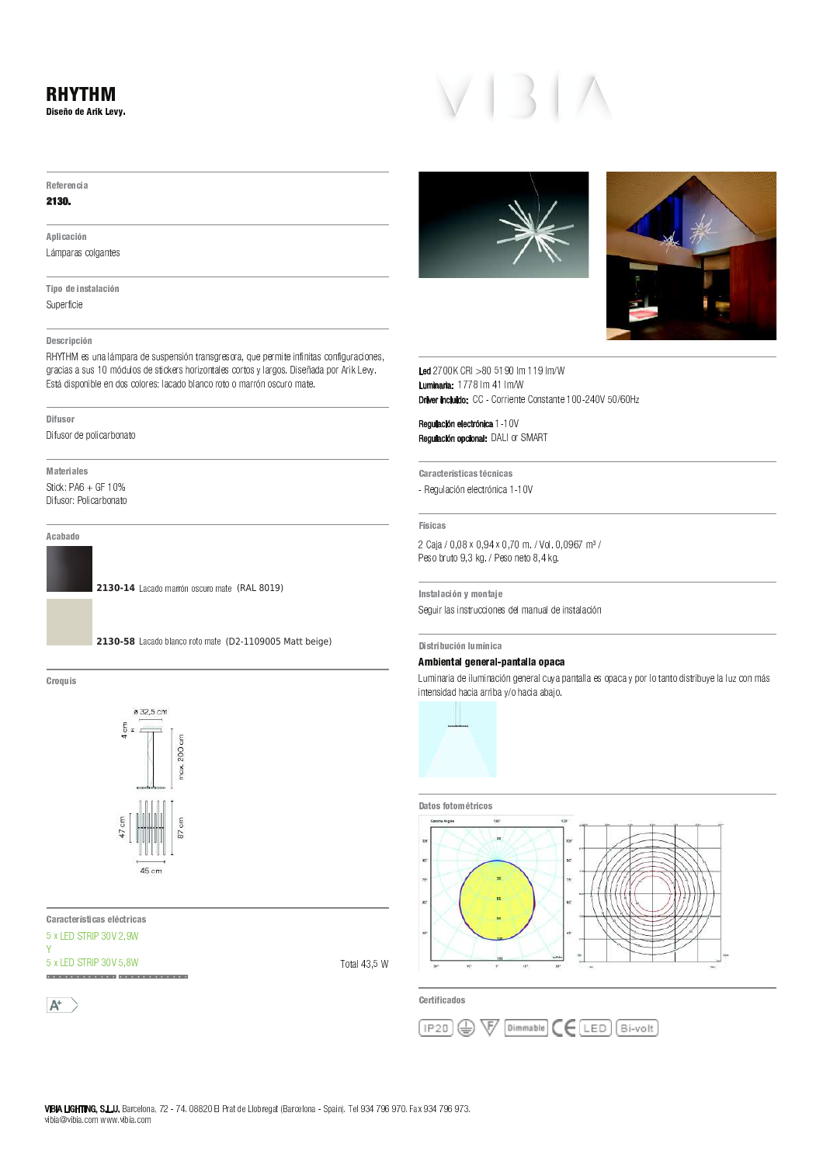# RHYTHM

Diseño de Arik Levy.

#### Referencia

### 2130.

A plicación Lámparas colgantes

Tipo de instalación

Superficie

### Descripción

RHYTHM es una lámpara de suspensión transgresora, que permite infinitas configuraciones, gracias a sus 10 módulos de stickers horizontales cortos y largos. Diseñada por Arik Levy. Está disponible en dos colores: lacado blanco roto o marrón oscuro mate.

#### Difusor

Difusor de policarbonato

**Materiales** Stick:  $PAG + GF 10\%$ 

Difusor: Policarbonato

## A cabado

**2130-14** Lacado marrón oscuro mate (RAL 8019)



 $\sim$  7  $\sim$  3  $\sim$ 



Características eléctricas  $5x$  LED STRIP  $30V$   $2,9W$ 

ä.







 $\epsilon$  , a dramatic distribution of  $\epsilon$  <sup>+</sup> " " <sup>j</sup> V O <sup>j</sup> V O  $\mathsf{D}$  there included  $\mathcal{C}\mathcal{C}$  . Corriente Constants 100, 240V EQ/GOU

 " " <sup>j</sup> <sup>j</sup> <sup>k</sup> " ! " <sup>q</sup> <sup>s</sup> <sup>M</sup> <sup>U</sup> <sup>R</sup> ] <sup>e</sup> <sup>s</sup> <sup>a</sup> <sup>d</sup>

 <sup>D</sup> : <sup>D</sup> <sup>C</sup> \ <sup>5</sup> : 4 \ 3 C <sup>D</sup> <sup>4</sup> \ <sup>C</sup> <sup>B</sup> 3 C <sup>D</sup> <sup>4</sup> - Regulación electrónica 1-10V

#### Físicas

 $\mathcal{L}^{\mathcal{L}}(\mathcal{L}^{\mathcal{L}})$  is the contract of the function of  $\mathcal{L}^{\mathcal{L}}$ Peso bruto 9,3 kg. / Peso neto 8,4 kg.

Instalación y montaje Seguir las instrucciones del manual de instalación

## Distribución lumínica

## Ambiental general-pantalla opaca

Luminaria de iluminación general cuya pantalla es opaca y por lo tanto distribuye la luz con más  $intensidad$  hacia arriba  $v/o$  hacia abaio.



### Datos fotométricos



<sup>5</sup> : \ 3 A 3 C <sup>D</sup> <sup>8</sup> <sup>7</sup> <sup>4</sup>

 $\sim$   $\sim$   $\sim$   $\sim$   $\sim$   $\sim$   $\sim$ 

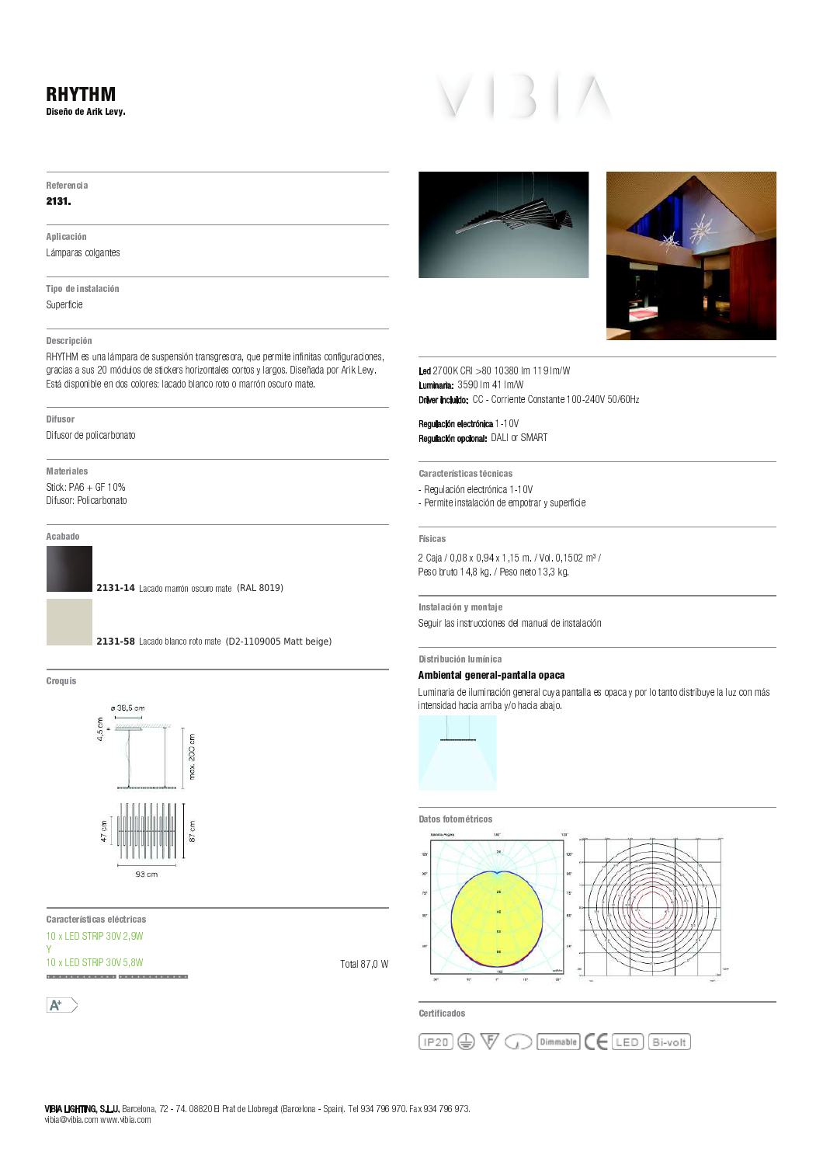# 5 A 5 : 5 B C 3 D **Referencia**

## 2131.

A plicación Lámparas colgantes

Tipo de instalación Superficie

### Descripción

Superficie<br>Descripción<br>Descripción \_<br>Descripción<br>RHYTHM es una lámpara de suspensión transgresora, que permite infinitas configuracione —<br>Descripción<br>RHYTHM es una lámpara de suspensión transgresora, que permite infinit<br>gracias a sus 20 módulos de stickers horizontales cortos y largos. Diseña gracias<br>Está di<br>———— \_ ^ ] <sup>R</sup> <sup>T</sup> <sup>Q</sup> <sup>e</sup> <sup>Y</sup> <sup>O</sup> <sup>T</sup> <sup>U</sup> \_ S <sup>P</sup> <sup>Q</sup> <sup>u</sup> <sup>T</sup> <sup>W</sup> <sup>P</sup> <sup>X</sup> T

D [ 5 : 3 D J 5 4

Difusor de policarbo<br>**Materiales**<br>M<mark>ateriales</mark> p \_ ^ ] <sup>R</sup> <sup>T</sup> <sup>Q</sup> <sup>v</sup> <sup>y</sup> <sup>T</sup> <sup>U</sup> \_ S <sup>P</sup> <sup>Q</sup> <sup>u</sup> <sup>T</sup> <sup>W</sup> <sup>P</sup> <sup>X</sup> T

A cabado

2131-14 Lacado marrón oscuro mate (RAL 8019)



Croquis 7 w 3 4



)<br>Características eléctric <sup>j</sup> <sup>L</sup> <sup>t</sup> <sup>p</sup> \ <sup>c</sup> ` y <sup>j</sup> <sup>g</sup>

Ÿ

a.

 $A^+$ 





 <sup>j</sup> <sup>j</sup> ` <sup>j</sup> <sup>~</sup> <sup>j</sup> <sup>j</sup> <sup>U</sup> N <sup>~</sup> <sup>~</sup> <sup>U</sup> N Luminaria: 359  $CRI > 80 10380$ .<br>Debres in objekto →80 10380 lm 119 lm/W<br>0 lm 41 lm/W

Regulación electrónica 1-10 " ! " <sup>r</sup> <sup>L</sup> <sup>T</sup> <sup>Q</sup> \ <sup>d</sup> <sup>r</sup> ` <sup>c</sup> egulación electrónica 1-1<br>egulación opcional: DALI<br>. ` <sup>Y</sup> <sup>V</sup> ] <sup>U</sup> P <sup>S</sup> \_ f <sup>W</sup> <sup>Y</sup> <sup>U</sup> Y <sup>S</sup> <sup>X</sup> Q <sup>f</sup> <sup>W</sup> \_ S <sup>P</sup> <sup>~</sup> <sup>~</sup> <sup>j</sup>

Características técnicas

\_<br>Características técnicas<br>- Regulación electrónica 1-10V

 4 3 C D 4 - Permite instalación de empotrar y superficie<br>Pisicas<br>Físicas

—<br>Físicas<br>2 Caja / 0,08 x 0,94 x 1,15 m. / Vol. 0,1  $\frac{2}{5}$ <sup>4</sup> [ <sup>D</sup> <sup>J</sup> D <sup>C</sup> <sup>3</sup> K <sup>B</sup> <sup>&</sup>gt; <sup>7</sup> <sup>B</sup> [ <sup>D</sup> 5

Peso bruto 14,8 kg. / Peso neto 13,3 kg.<br>Instalación y montaje Instalación y <mark>montaj</mark><br>Seguir las instruccion<br>.

# ¡ ¢ £ ¤ ¥ ¦ § ¨ © ¤ ¥ ¤ <sup>ª</sup> § ¨ « <sup>¬</sup> § ¥ ¦ § ¨ ¨ § <sup>¬</sup> § ® § \_<br>|<br>|

# Distribución lumínica<br>Ambiental general-pantalla opaca

Dis**tribución lumínica<br>Ambiental general-pantalla opaca**<br>Luminaria de iluminación general cuya pantalla es opaca y por lo tanto distribuye la luz con más<br>intensidad hacia arriba y/o hacia abajo.





Certificados

T X P U g j

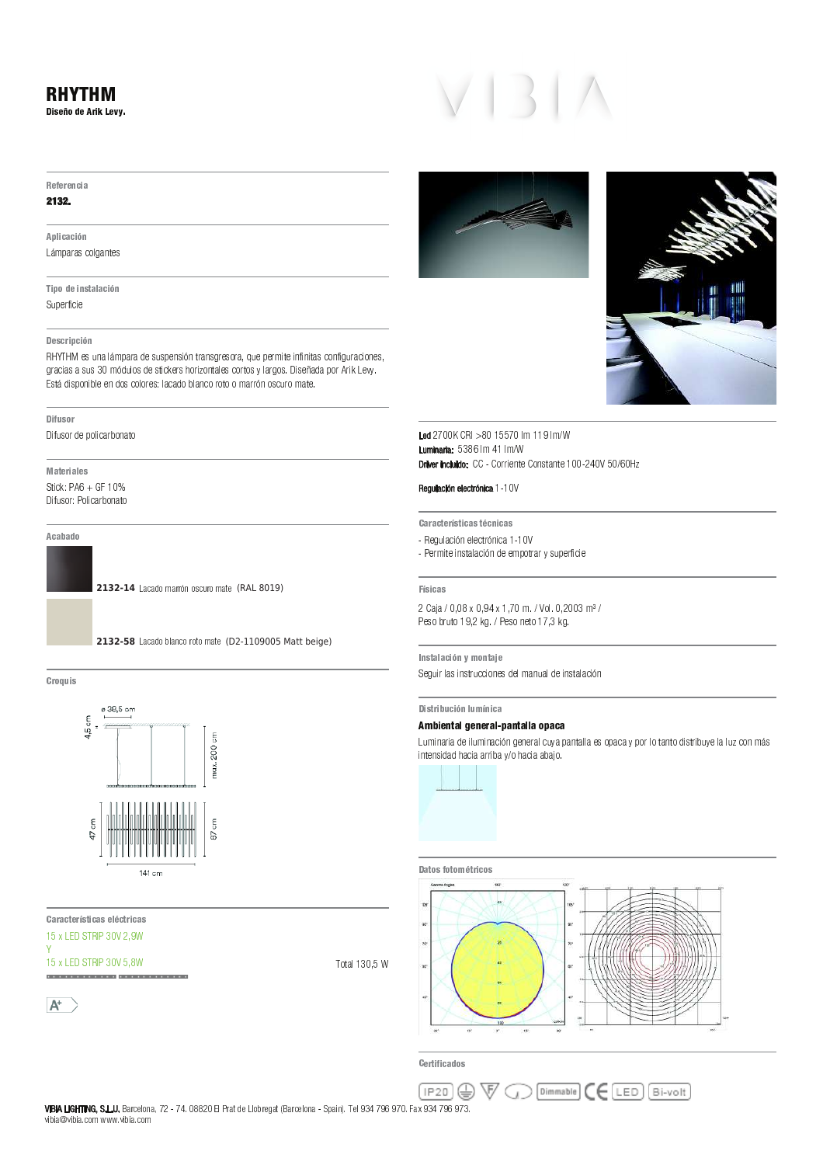

i 2700k CRI >80 15570<br>Led 2700k CRI >80 15570 <sup>j</sup> <sup>j</sup> ` <sup>j</sup> <sup>~</sup> <sup>j</sup> <sup>U</sup> N <sup>~</sup> <sup>~</sup> <sup>U</sup> N Luminaria: 538 .<br>Debres in objekte >80 15570 lm 119 lm/W<br>6 lm 41 lm/W

 " " <sup>~</sup> <sup>j</sup> nver includo.<br>Egulación electrónica 1 -1 ` <sup>Y</sup> <sup>V</sup> ] <sup>U</sup> P <sup>S</sup> \_ f <sup>W</sup> <sup>Y</sup> <sup>U</sup> Y <sup>S</sup> <sup>X</sup> Q <sup>f</sup> <sup>W</sup> \_ S <sup>P</sup> <sup>~</sup> <sup>~</sup> <sup>j</sup>

- <sup>y</sup> <sup>Y</sup> <sup>Q</sup> <sup>N</sup> \_ X Y \_ W <sup>R</sup> <sup>X</sup> P <sup>U</sup> P <sup>S</sup> \_ f <sup>W</sup> <sup>e</sup> <sup>Y</sup> <sup>Y</sup> <sup>N</sup> <sup>O</sup> <sup>T</sup> <sup>X</sup> Q <sup>P</sup> <sup>Q</sup> <sup>n</sup> <sup>R</sup> ] <sup>O</sup> <sup>Y</sup> <sup>Q</sup> ^ \_ S \_ Y
- Regu<br>- Perm<br>-- Permite instalación de empotrar y superficie $\overbrace{\mathsf{Físicas}}$

—<br>Físicas<br>2 Caja / 0,08 x 0,94 x 1,70 m. / Vol. 0,2  $\frac{2}{5}$ 2 Caja / 0,08 x 0,94 ><br>Peso bruto 19,2 kg. /<br>————————————————————

Instalación y montaje Peso bruto 19,2 kg. / Peso neto 17,3 kg.<br>Instalación y montaje Instalación y <mark>montaj</mark><br>Seguir las instruccion<br>. ¡ ¢ £ ¤ ¥ ¦ § ¨ © ¤ ¥ ¤ <sup>ª</sup> § ¨ « <sup>¬</sup> § ¥ ¦ § ¨ ¨ § <sup>¬</sup> § ® §

# Distribución lumínica<br>Ambiental general-pantalla opaca \_<br>|<br>|

Dis**tribución lumínica<br>Ambiental general-pantalla opaca**<br>Luminaria de iluminación general cuya pantalla es opaca y por lo tanto distribuye la luz con más<br>intensidad hacia arriba y/o hacia abajo.







Certificados

 $\overline{a}$ 

 $6.385$  cm  $4,5$  cm 200 cm max.



 $\overline{\phantom{a}}$  <sup>L</sup> <sup>t</sup> <sup>p</sup> \ <sup>c</sup> ` y <sup>i</sup> <sup>j</sup> <sup>g</sup> **Características eléctric**<br>15 x LED STRIP 30V 2,9<br>Y

i.

 $A^+$ 

**A** W  $Dimmable$   $C$   $C$   $LED$   $Bi-volt$  $($  IP20  $)$ 

 -  - ! " # \$ % \$ & \$ ' ( \$ % \$ & \$ % )) " + , , , ) " + " .<br>BIA " "

2132. A plicación

5 A 5 : 5 B C 3 D

**Referencia** 

Lámparas colgantes

Lámpara<br>**\_\_\_\_\_\_\_\_\_\_\_\_\_\_\_\_\_\_**<br>Tipo de i **Tipo de ins<br>Superficie<br>Antiquia<br>Antiquia** 

#### Descripción

Superficie<br>Descripción<br>Descripción \_<br>Descripción<br>RHYTHM es una lámpara de suspensión transgresora, que permite infinitas configuracione —<br>Descripción<br>RHYTHM es una lámpara de suspensión transgresora, que permite infinit<br>gracias a sus 30 módulos de stickers horizontales cortos y largos. Diseña gracias<br>Está di<br>———— \_ ^ ] <sup>R</sup> <sup>T</sup> <sup>Q</sup> <sup>e</sup> <sup>Y</sup> <sup>O</sup> <sup>T</sup> <sup>U</sup> \_ S <sup>P</sup> <sup>Q</sup> <sup>u</sup> <sup>T</sup> <sup>W</sup> <sup>P</sup> <sup>X</sup> T

D [ 5 : 3 D J 5 4

Difusor de policarbo<br>**Materiales**<br>M<mark>ateriales</mark> p \_ ^ ] <sup>R</sup> <sup>T</sup> <sup>Q</sup> <sup>v</sup> <sup>y</sup> <sup>T</sup> <sup>U</sup> \_ S <sup>P</sup> <sup>Q</sup> <sup>u</sup> <sup>T</sup> <sup>W</sup> <sup>P</sup> <sup>X</sup> T

## A cabado

**2132-14** Lacado marrón oscuro mate (RAL 8019)



 $\overline{\overline{5}}$  $\tilde{5}$ 

Croquis 7 w 3 4